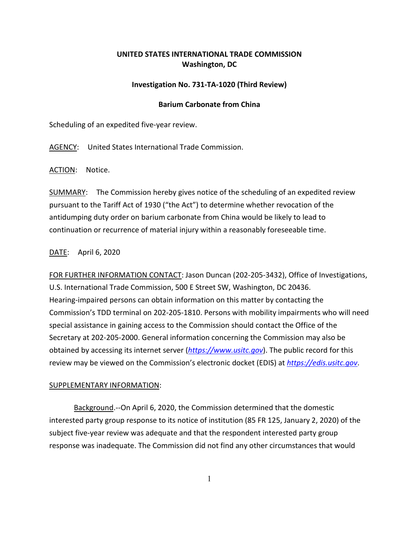# **UNITED STATES INTERNATIONAL TRADE COMMISSION Washington, DC**

## **Investigation No. 731-TA-1020 (Third Review)**

### **Barium Carbonate from China**

Scheduling of an expedited five-year review.

AGENCY: United States International Trade Commission.

ACTION: Notice.

SUMMARY: The Commission hereby gives notice of the scheduling of an expedited review pursuant to the Tariff Act of 1930 ("the Act") to determine whether revocation of the antidumping duty order on barium carbonate from China would be likely to lead to continuation or recurrence of material injury within a reasonably foreseeable time.

## DATE: April 6, 2020

FOR FURTHER INFORMATION CONTACT: Jason Duncan (202-205-3432), Office of Investigations, U.S. International Trade Commission, 500 E Street SW, Washington, DC 20436. Hearing-impaired persons can obtain information on this matter by contacting the Commission's TDD terminal on 202-205-1810. Persons with mobility impairments who will need special assistance in gaining access to the Commission should contact the Office of the Secretary at 202-205-2000. General information concerning the Commission may also be obtained by accessing its internet server (*[https://www.usitc.gov](https://www.usitc.gov/)*). The public record for this review may be viewed on the Commission's electronic docket (EDIS) at *[https://edis.usitc.gov](https://edis.usitc.gov/)*.

#### SUPPLEMENTARY INFORMATION:

Background.--On April 6, 2020, the Commission determined that the domestic interested party group response to its notice of institution (85 FR 125, January 2, 2020) of the subject five-year review was adequate and that the respondent interested party group response was inadequate. The Commission did not find any other circumstances that would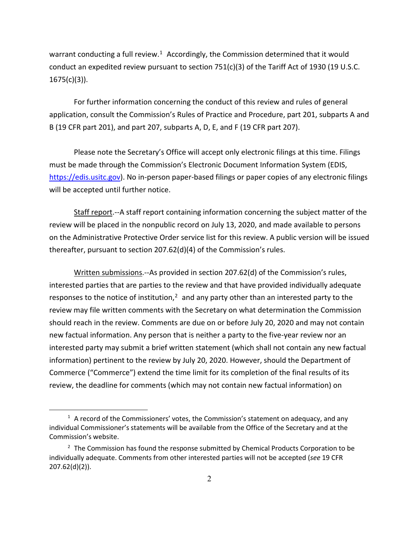warrant conducting a full review.<sup>1</sup> Accordingly, the Commission determined that it would conduct an expedited review pursuant to section 751(c)(3) of the Tariff Act of 1930 (19 U.S.C. 1675(c)(3)).

For further information concerning the conduct of this review and rules of general application, consult the Commission's Rules of Practice and Procedure, part 201, subparts A and B (19 CFR part 201), and part 207, subparts A, D, E, and F (19 CFR part 207).

Please note the Secretary's Office will accept only electronic filings at this time. Filings must be made through the Commission's Electronic Document Information System (EDIS, [https://edis.usitc.gov\)](https://edis.usitc.gov/). No in-person paper-based filings or paper copies of any electronic filings will be accepted until further notice.

Staff report.--A staff report containing information concerning the subject matter of the review will be placed in the nonpublic record on July 13, 2020, and made available to persons on the Administrative Protective Order service list for this review. A public version will be issued thereafter, pursuant to section 207.62(d)(4) of the Commission's rules.

Written submissions.--As provided in section 207.62(d) of the Commission's rules, interested parties that are parties to the review and that have provided individually adequate responses to the notice of institution, $<sup>2</sup>$  $<sup>2</sup>$  $<sup>2</sup>$  and any party other than an interested party to the</sup> review may file written comments with the Secretary on what determination the Commission should reach in the review. Comments are due on or before July 20, 2020 and may not contain new factual information. Any person that is neither a party to the five-year review nor an interested party may submit a brief written statement (which shall not contain any new factual information) pertinent to the review by July 20, 2020. However, should the Department of Commerce ("Commerce") extend the time limit for its completion of the final results of its review, the deadline for comments (which may not contain new factual information) on

<span id="page-1-0"></span> $<sup>1</sup>$  A record of the Commissioners' votes, the Commission's statement on adequacy, and any</sup> individual Commissioner's statements will be available from the Office of the Secretary and at the Commission's website.

<span id="page-1-1"></span> $2$  The Commission has found the response submitted by Chemical Products Corporation to be individually adequate. Comments from other interested parties will not be accepted (*see* 19 CFR 207.62(d)(2)).